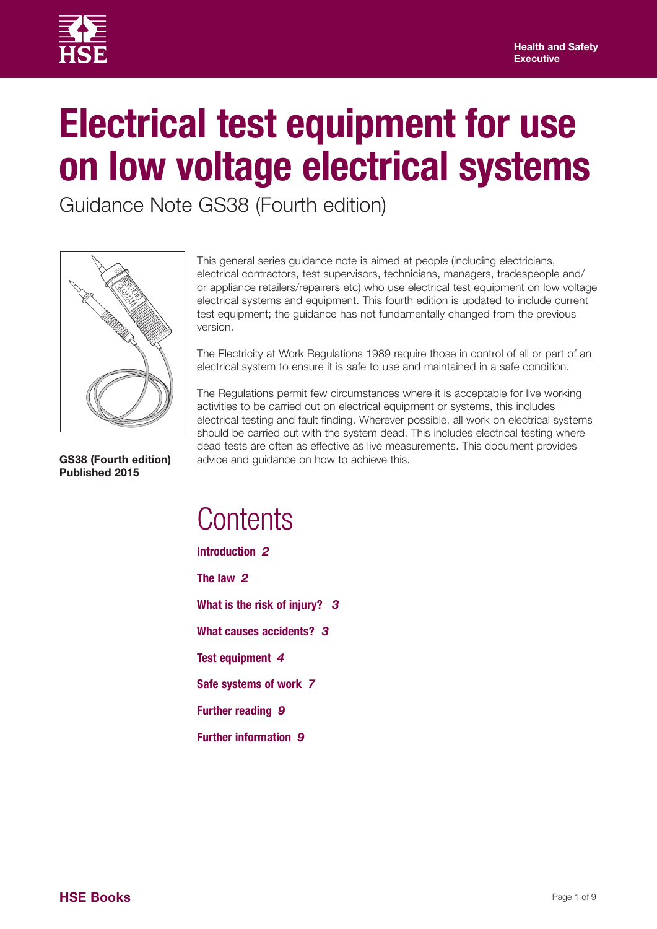

# **Electrical test equipment for use on low voltage electrical systems**

Guidance Note GS38 (Fourth edition)



This general series guidance note is aimed at people (including electricians, electrical contractors, test supervisors, technicians, managers, tradespeople and/ or appliance retailers/repairers etc) who use electrical test equipment on low voltage electrical systems and equipment. This fourth edition is updated to include current test equipment; the guidance has not fundamentally changed from the previous version.

The Electricity at Work Regulations 1989 require those in control of all or part of an electrical system to ensure it is safe to use and maintained in a safe condition.

The Regulations permit few circumstances where it is acceptable for live working activities to be carried out on electrical equipment or systems, this includes electrical testing and fault finding. Wherever possible, all work on electrical systems should be carried out with the system dead. This includes electrical testing where dead tests are often as effective as live measurements. This document provides advice and guidance on how to achieve this.

**GS38 (Fourth edition) Published 2015**

## **Contents**

**Introduction** *2* **The law** *2* **What is the risk of injury?** *3* **What causes accidents?** *3*  **Test equipment** *4* **Safe systems of work** *7*  **Further reading** *9* **Further information** *9*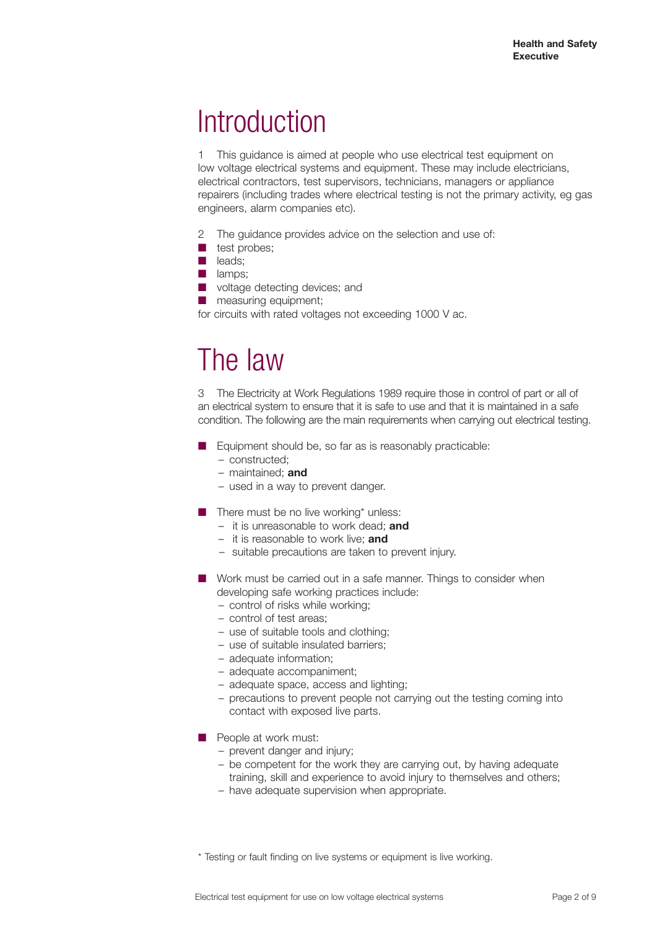# **Introduction**

1 This guidance is aimed at people who use electrical test equipment on low voltage electrical systems and equipment. These may include electricians, electrical contractors, test supervisors, technicians, managers or appliance repairers (including trades where electrical testing is not the primary activity, eg gas engineers, alarm companies etc).

- 2 The guidance provides advice on the selection and use of:
- test probes;
- leads:
- lamps;
- voltage detecting devices; and
- measuring equipment;

for circuits with rated voltages not exceeding 1000 V ac.

## The law

3 The Electricity at Work Regulations 1989 require those in control of part or all of an electrical system to ensure that it is safe to use and that it is maintained in a safe condition. The following are the main requirements when carrying out electrical testing.

- Equipment should be, so far as is reasonably practicable:
	- constructed;
	- maintained; **and**
	- used in a way to prevent danger.
- There must be no live working\* unless:
	- it is unreasonable to work dead; **and**
	- it is reasonable to work live; **and**
	- suitable precautions are taken to prevent injury.
- Work must be carried out in a safe manner. Things to consider when developing safe working practices include:
	- control of risks while working;
	- control of test areas;
	- use of suitable tools and clothing;
	- use of suitable insulated barriers;
	- adequate information;
	- adequate accompaniment;
	- adequate space, access and lighting;
	- precautions to prevent people not carrying out the testing coming into contact with exposed live parts.
- People at work must:
	- prevent danger and injury;
	- be competent for the work they are carrying out, by having adequate training, skill and experience to avoid injury to themselves and others;
	- have adequate supervision when appropriate.

\* Testing or fault finding on live systems or equipment is live working.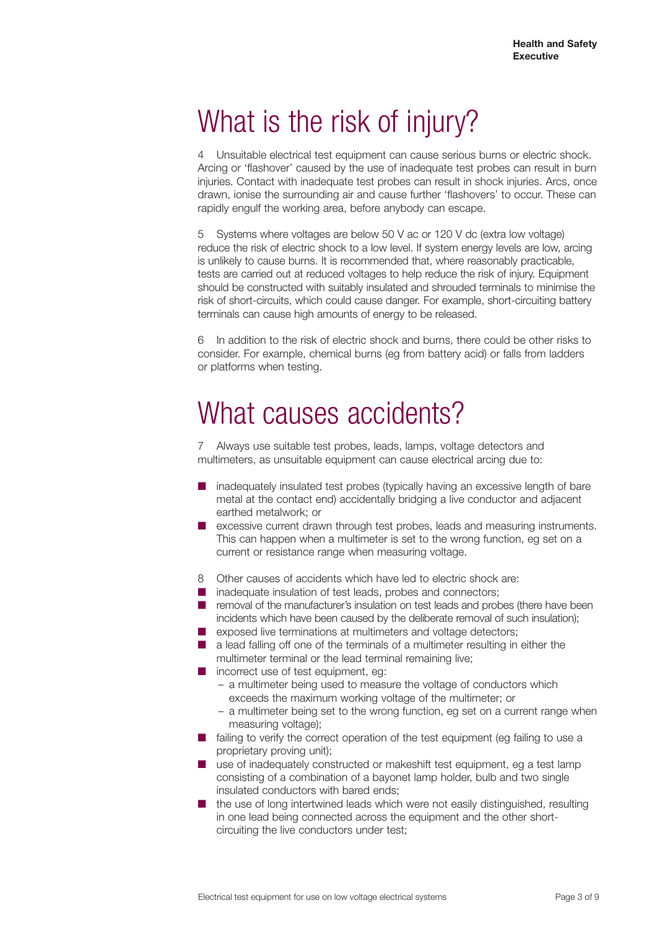# What is the risk of injury?

4 Unsuitable electrical test equipment can cause serious burns or electric shock. Arcing or 'flashover' caused by the use of inadequate test probes can result in burn injuries. Contact with inadequate test probes can result in shock injuries. Arcs, once drawn, ionise the surrounding air and cause further 'flashovers' to occur. These can rapidly engulf the working area, before anybody can escape.

5 Systems where voltages are below 50 V ac or 120 V dc (extra low voltage) reduce the risk of electric shock to a low level. If system energy levels are low, arcing is unlikely to cause burns. It is recommended that, where reasonably practicable, tests are carried out at reduced voltages to help reduce the risk of injury. Equipment should be constructed with suitably insulated and shrouded terminals to minimise the risk of short-circuits, which could cause danger. For example, short-circuiting battery terminals can cause high amounts of energy to be released.

6 In addition to the risk of electric shock and burns, there could be other risks to consider. For example, chemical burns (eg from battery acid) or falls from ladders or platforms when testing.

# What causes accidents?

7 Always use suitable test probes, leads, lamps, voltage detectors and multimeters, as unsuitable equipment can cause electrical arcing due to:

- inadequately insulated test probes (typically having an excessive length of bare metal at the contact end) accidentally bridging a live conductor and adjacent earthed metalwork; or
- excessive current drawn through test probes, leads and measuring instruments. This can happen when a multimeter is set to the wrong function, eg set on a current or resistance range when measuring voltage.
- 8 Other causes of accidents which have led to electric shock are:
- inadequate insulation of test leads, probes and connectors;
- removal of the manufacturer's insulation on test leads and probes (there have been incidents which have been caused by the deliberate removal of such insulation);
- exposed live terminations at multimeters and voltage detectors:
- a lead falling off one of the terminals of a multimeter resulting in either the multimeter terminal or the lead terminal remaining live;
- incorrect use of test equipment, eg:
	- a multimeter being used to measure the voltage of conductors which exceeds the maximum working voltage of the multimeter; or
	- a multimeter being set to the wrong function, eg set on a current range when measuring voltage);
- failing to verify the correct operation of the test equipment (eg failing to use a proprietary proving unit);
- use of inadequately constructed or makeshift test equipment, eg a test lamp consisting of a combination of a bayonet lamp holder, bulb and two single insulated conductors with bared ends;
- the use of long intertwined leads which were not easily distinguished, resulting in one lead being connected across the equipment and the other shortcircuiting the live conductors under test;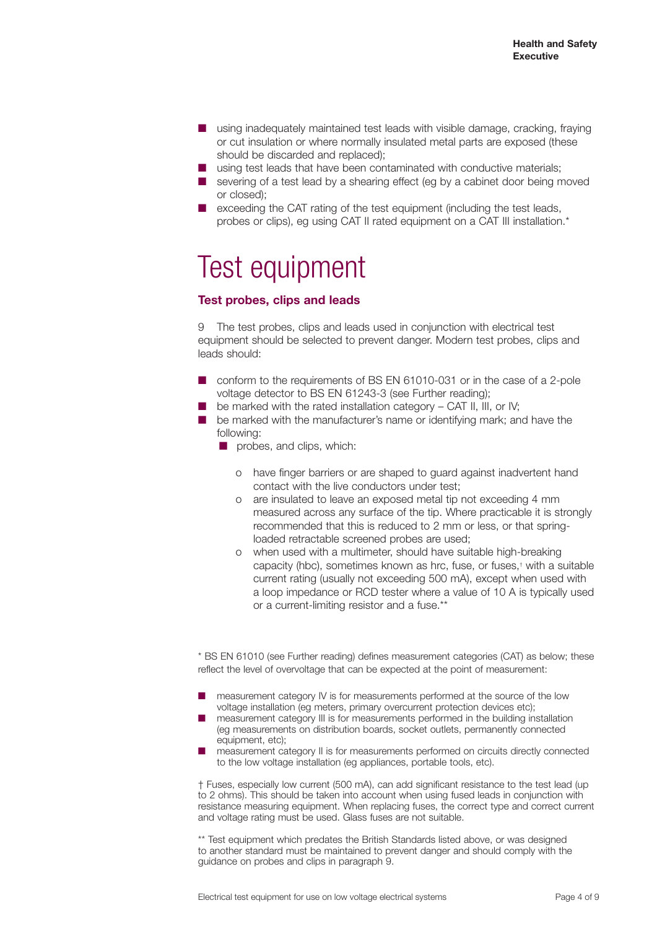- using inadequately maintained test leads with visible damage, cracking, fraying or cut insulation or where normally insulated metal parts are exposed (these should be discarded and replaced);
- using test leads that have been contaminated with conductive materials;
- severing of a test lead by a shearing effect (eg by a cabinet door being moved or closed);
- exceeding the CAT rating of the test equipment (including the test leads, probes or clips), eg using CAT II rated equipment on a CAT III installation.\*

# Test equipment

#### **Test probes, clips and leads**

9 The test probes, clips and leads used in conjunction with electrical test equipment should be selected to prevent danger. Modern test probes, clips and leads should:

- conform to the requirements of BS EN 61010-031 or in the case of a 2-pole voltage detector to BS EN 61243-3 (see Further reading);
- $\blacksquare$  be marked with the rated installation category CAT II, III, or IV;
- be marked with the manufacturer's name or identifying mark; and have the following:
	- probes, and clips, which:
		- o have finger barriers or are shaped to guard against inadvertent hand contact with the live conductors under test;
		- o are insulated to leave an exposed metal tip not exceeding 4 mm measured across any surface of the tip. Where practicable it is strongly recommended that this is reduced to 2 mm or less, or that springloaded retractable screened probes are used;
		- o when used with a multimeter, should have suitable high-breaking capacity (hbc), sometimes known as hrc, fuse, or fuses,† with a suitable current rating (usually not exceeding 500 mA), except when used with a loop impedance or RCD tester where a value of 10 A is typically used or a current-limiting resistor and a fuse.\*\*

\* BS EN 61010 (see Further reading) defines measurement categories (CAT) as below; these reflect the level of overvoltage that can be expected at the point of measurement:

- measurement category IV is for measurements performed at the source of the low voltage installation (eg meters, primary overcurrent protection devices etc);
- measurement category III is for measurements performed in the building installation (eg measurements on distribution boards, socket outlets, permanently connected equipment, etc);
- measurement category II is for measurements performed on circuits directly connected to the low voltage installation (eg appliances, portable tools, etc).

† Fuses, especially low current (500 mA), can add significant resistance to the test lead (up to 2 ohms). This should be taken into account when using fused leads in conjunction with resistance measuring equipment. When replacing fuses, the correct type and correct current and voltage rating must be used. Glass fuses are not suitable.

\*\* Test equipment which predates the British Standards listed above, or was designed to another standard must be maintained to prevent danger and should comply with the guidance on probes and clips in paragraph 9.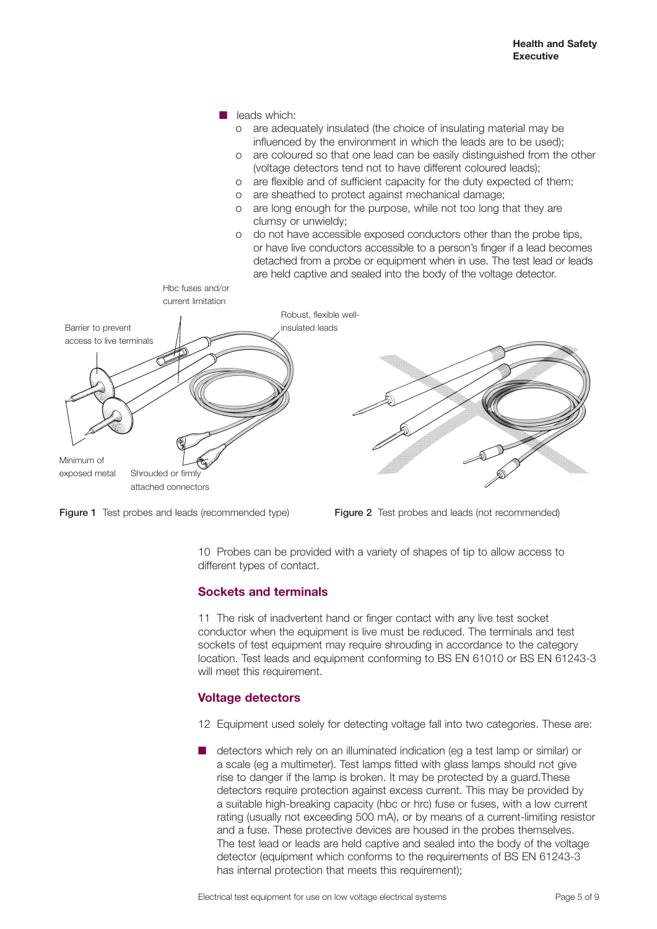





10 Probes can be provided with a variety of shapes of tip to allow access to different types of contact.

#### **Sockets and terminals**

11 The risk of inadvertent hand or finger contact with any live test socket conductor when the equipment is live must be reduced. The terminals and test sockets of test equipment may require shrouding in accordance to the category location. Test leads and equipment conforming to BS EN 61010 or BS EN 61243-3 will meet this requirement.

#### **Voltage detectors**

12 Equipment used solely for detecting voltage fall into two categories. These are:

■ detectors which rely on an illuminated indication (eg a test lamp or similar) or a scale (eg a multimeter). Test lamps fitted with glass lamps should not give rise to danger if the lamp is broken. It may be protected by a guard.These detectors require protection against excess current. This may be provided by a suitable high-breaking capacity (hbc or hrc) fuse or fuses, with a low current rating (usually not exceeding 500 mA), or by means of a current-limiting resistor and a fuse. These protective devices are housed in the probes themselves. The test lead or leads are held captive and sealed into the body of the voltage detector (equipment which conforms to the requirements of BS EN 61243-3 has internal protection that meets this requirement):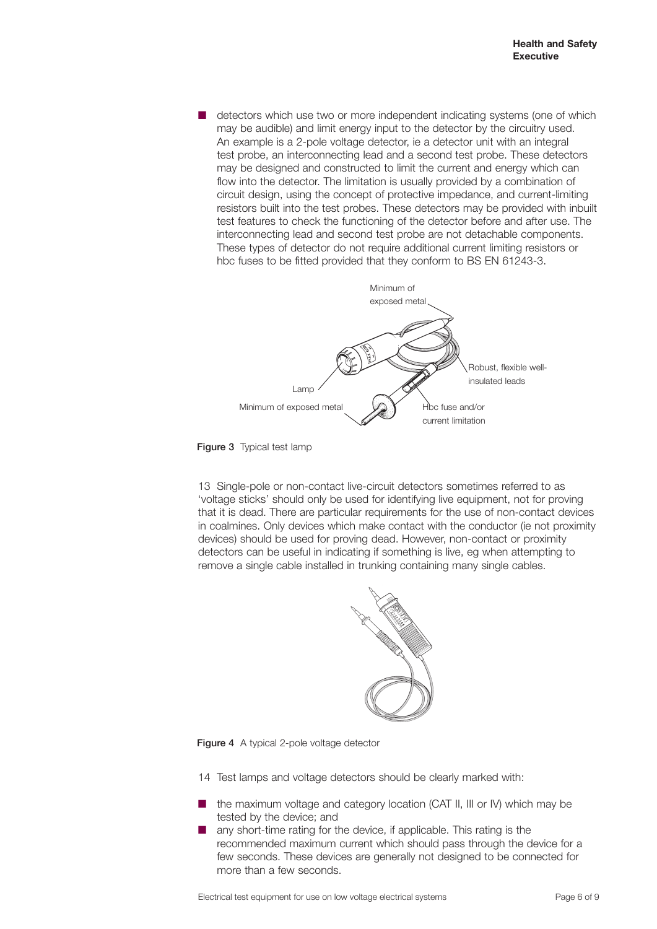■ detectors which use two or more independent indicating systems (one of which may be audible) and limit energy input to the detector by the circuitry used. An example is a 2-pole voltage detector, ie a detector unit with an integral test probe, an interconnecting lead and a second test probe. These detectors may be designed and constructed to limit the current and energy which can flow into the detector. The limitation is usually provided by a combination of circuit design, using the concept of protective impedance, and current-limiting resistors built into the test probes. These detectors may be provided with inbuilt test features to check the functioning of the detector before and after use. The interconnecting lead and second test probe are not detachable components. These types of detector do not require additional current limiting resistors or hbc fuses to be fitted provided that they conform to BS EN 61243-3.



Figure 3 Typical test lamp

13 Single-pole or non-contact live-circuit detectors sometimes referred to as 'voltage sticks' should only be used for identifying live equipment, not for proving that it is dead. There are particular requirements for the use of non-contact devices in coalmines. Only devices which make contact with the conductor (ie not proximity devices) should be used for proving dead. However, non-contact or proximity detectors can be useful in indicating if something is live, eg when attempting to remove a single cable installed in trunking containing many single cables.



Figure 4 A typical 2-pole voltage detector

14 Test lamps and voltage detectors should be clearly marked with:

- the maximum voltage and category location (CAT II, III or IV) which may be tested by the device; and
- any short-time rating for the device, if applicable. This rating is the recommended maximum current which should pass through the device for a few seconds. These devices are generally not designed to be connected for more than a few seconds.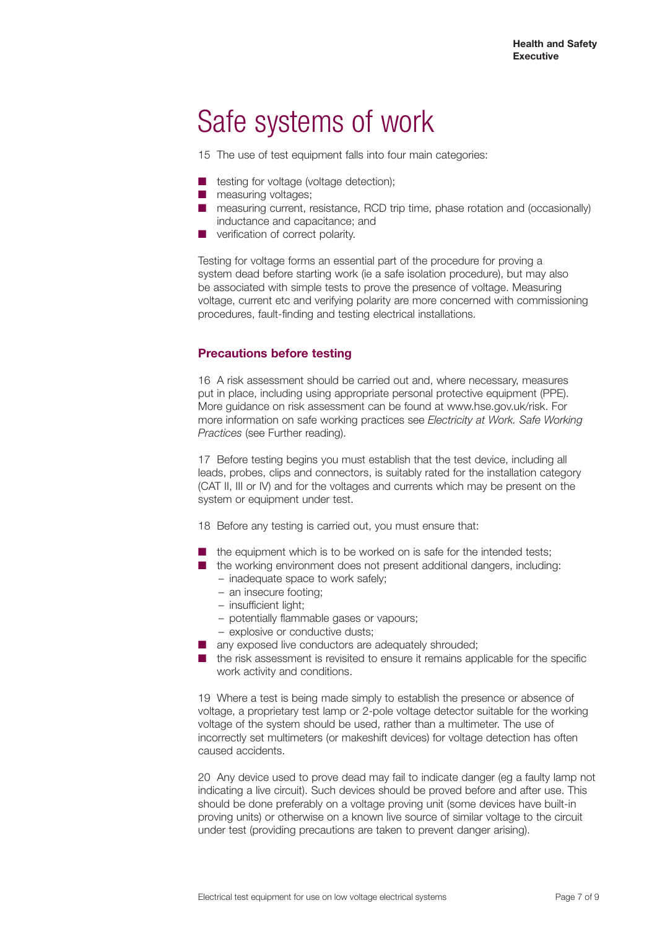# Safe systems of work

15 The use of test equipment falls into four main categories:

- testing for voltage (voltage detection);
- measuring voltages;
- measuring current, resistance, RCD trip time, phase rotation and (occasionally) inductance and capacitance; and
- verification of correct polarity.

Testing for voltage forms an essential part of the procedure for proving a system dead before starting work (ie a safe isolation procedure), but may also be associated with simple tests to prove the presence of voltage. Measuring voltage, current etc and verifying polarity are more concerned with commissioning procedures, fault-finding and testing electrical installations.

#### **Precautions before testing**

16 A risk assessment should be carried out and, where necessary, measures put in place, including using appropriate personal protective equipment (PPE). More guidance on risk assessment can be found at www.hse.gov.uk/risk. For more information on safe working practices see *Electricity at Work. Safe Working Practices* (see Further reading).

17 Before testing begins you must establish that the test device, including all leads, probes, clips and connectors, is suitably rated for the installation category (CAT II, III or IV) and for the voltages and currents which may be present on the system or equipment under test.

18 Before any testing is carried out, you must ensure that:

- the equipment which is to be worked on is safe for the intended tests:
- the working environment does not present additional dangers, including:
	- inadequate space to work safely;
	- an insecure footing;
	- insufficient light;
	- potentially flammable gases or vapours;
	- explosive or conductive dusts;
- any exposed live conductors are adequately shrouded;
- the risk assessment is revisited to ensure it remains applicable for the specific work activity and conditions.

19 Where a test is being made simply to establish the presence or absence of voltage, a proprietary test lamp or 2-pole voltage detector suitable for the working voltage of the system should be used, rather than a multimeter. The use of incorrectly set multimeters (or makeshift devices) for voltage detection has often caused accidents.

20 Any device used to prove dead may fail to indicate danger (eg a faulty lamp not indicating a live circuit). Such devices should be proved before and after use. This should be done preferably on a voltage proving unit (some devices have built-in proving units) or otherwise on a known live source of similar voltage to the circuit under test (providing precautions are taken to prevent danger arising).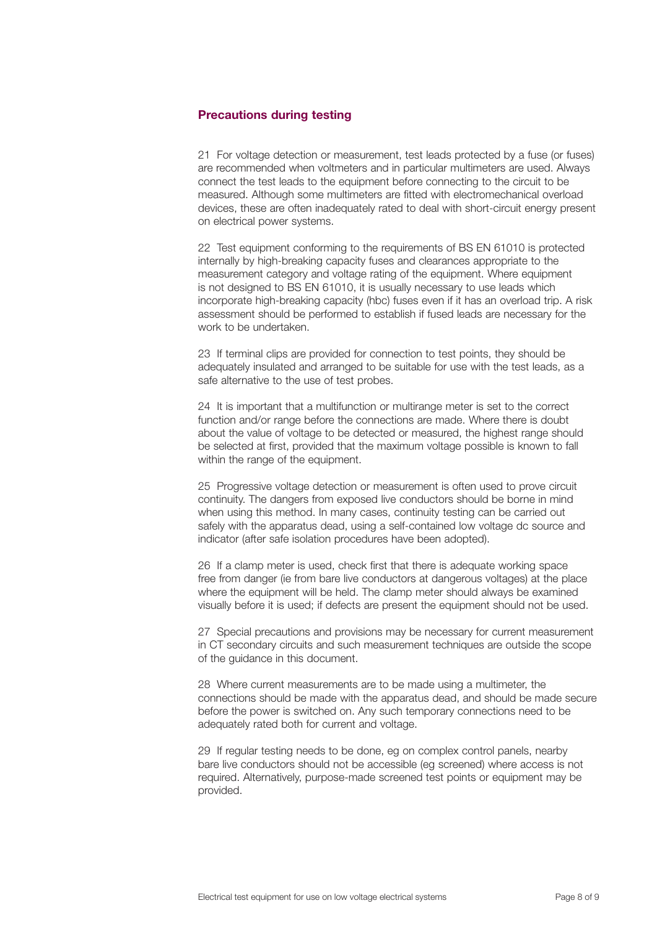#### **Precautions during testing**

21 For voltage detection or measurement, test leads protected by a fuse (or fuses) are recommended when voltmeters and in particular multimeters are used. Always connect the test leads to the equipment before connecting to the circuit to be measured. Although some multimeters are fitted with electromechanical overload devices, these are often inadequately rated to deal with short-circuit energy present on electrical power systems.

22 Test equipment conforming to the requirements of BS EN 61010 is protected internally by high-breaking capacity fuses and clearances appropriate to the measurement category and voltage rating of the equipment. Where equipment is not designed to BS EN 61010, it is usually necessary to use leads which incorporate high-breaking capacity (hbc) fuses even if it has an overload trip. A risk assessment should be performed to establish if fused leads are necessary for the work to be undertaken.

23 If terminal clips are provided for connection to test points, they should be adequately insulated and arranged to be suitable for use with the test leads, as a safe alternative to the use of test probes.

24 It is important that a multifunction or multirange meter is set to the correct function and/or range before the connections are made. Where there is doubt about the value of voltage to be detected or measured, the highest range should be selected at first, provided that the maximum voltage possible is known to fall within the range of the equipment.

25 Progressive voltage detection or measurement is often used to prove circuit continuity. The dangers from exposed live conductors should be borne in mind when using this method. In many cases, continuity testing can be carried out safely with the apparatus dead, using a self-contained low voltage dc source and indicator (after safe isolation procedures have been adopted).

26 If a clamp meter is used, check first that there is adequate working space free from danger (ie from bare live conductors at dangerous voltages) at the place where the equipment will be held. The clamp meter should always be examined visually before it is used; if defects are present the equipment should not be used.

27 Special precautions and provisions may be necessary for current measurement in CT secondary circuits and such measurement techniques are outside the scope of the guidance in this document.

28 Where current measurements are to be made using a multimeter, the connections should be made with the apparatus dead, and should be made secure before the power is switched on. Any such temporary connections need to be adequately rated both for current and voltage.

29 If regular testing needs to be done, eg on complex control panels, nearby bare live conductors should not be accessible (eg screened) where access is not required. Alternatively, purpose-made screened test points or equipment may be provided.